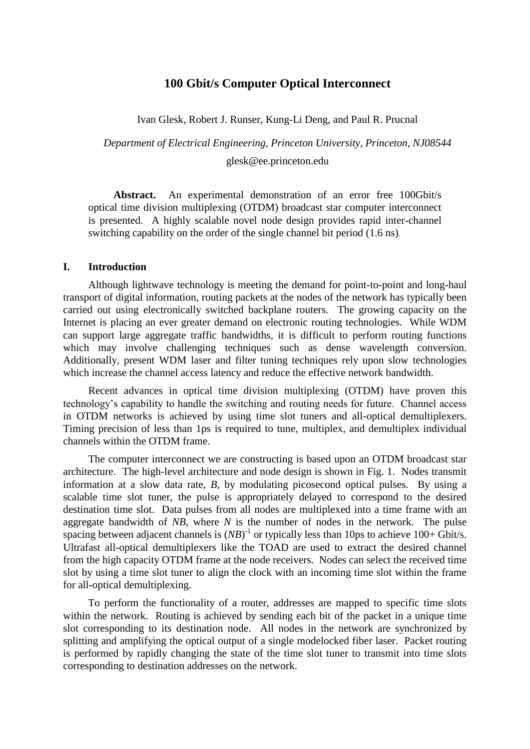# **100 Gbit/s Computer Optical Interconnect**

Ivan Glesk, Robert J. Runser, Kung-Li Deng, and Paul R. Prucnal

*Department of Electrical Engineering, Princeton University, Princeton, NJ08544* glesk@ee.princeton.edu

**Abstract.** An experimental demonstration of an error free 100Gbit/s optical time division multiplexing (OTDM) broadcast star computer interconnect is presented. A highly scalable novel node design provides rapid inter-channel switching capability on the order of the single channel bit period (1.6 ns).

## **I. Introduction**

Although lightwave technology is meeting the demand for point-to-point and long-haul transport of digital information, routing packets at the nodes of the network has typically been carried out using electronically switched backplane routers. The growing capacity on the Internet is placing an ever greater demand on electronic routing technologies. While WDM can support large aggregate traffic bandwidths, it is difficult to perform routing functions which may involve challenging techniques such as dense wavelength conversion. Additionally, present WDM laser and filter tuning techniques rely upon slow technologies which increase the channel access latency and reduce the effective network bandwidth.

Recent advances in optical time division multiplexing (OTDM) have proven this technology's capability to handle the switching and routing needs for future. Channel access in OTDM networks is achieved by using time slot tuners and all-optical demultiplexers. Timing precision of less than 1ps is required to tune, multiplex, and demultiplex individual channels within the OTDM frame.

The computer interconnect we are constructing is based upon an OTDM broadcast star architecture. The high-level architecture and node design is shown in Fig. 1. Nodes transmit information at a slow data rate, *B*, by modulating picosecond optical pulses. By using a scalable time slot tuner, the pulse is appropriately delayed to correspond to the desired destination time slot. Data pulses from all nodes are multiplexed into a time frame with an aggregate bandwidth of *NB*, where *N* is the number of nodes in the network. The pulse spacing between adjacent channels is  $(NB)^{-1}$  or typically less than 10ps to achieve 100+ Gbit/s. Ultrafast all-optical demultiplexers like the TOAD are used to extract the desired channel from the high capacity OTDM frame at the node receivers. Nodes can select the received time slot by using a time slot tuner to align the clock with an incoming time slot within the frame for all-optical demultiplexing.

To perform the functionality of a router, addresses are mapped to specific time slots within the network. Routing is achieved by sending each bit of the packet in a unique time slot corresponding to its destination node. All nodes in the network are synchronized by splitting and amplifying the optical output of a single modelocked fiber laser. Packet routing is performed by rapidly changing the state of the time slot tuner to transmit into time slots corresponding to destination addresses on the network.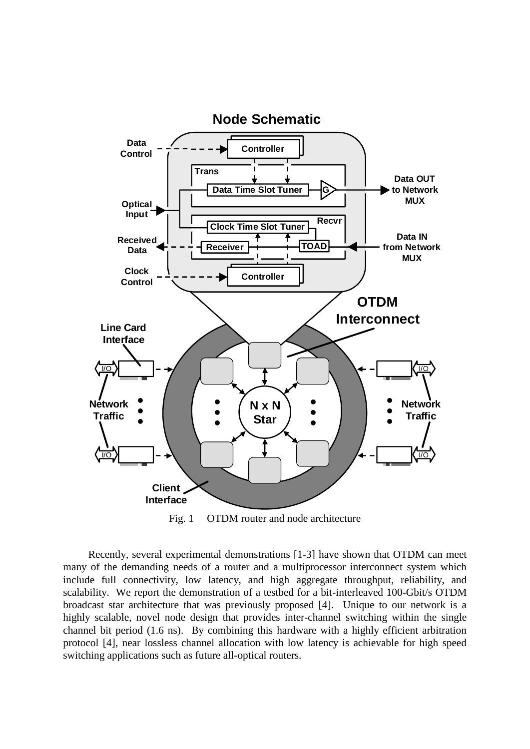

Fig. 1 OTDM router and node architecture

Recently, several experimental demonstrations [1-3] have shown that OTDM can meet many of the demanding needs of a router and a multiprocessor interconnect system which include full connectivity, low latency, and high aggregate throughput, reliability, and scalability. We report the demonstration of a testbed for a bit-interleaved 100-Gbit/s OTDM broadcast star architecture that was previously proposed [4]. Unique to our network is a highly scalable, novel node design that provides inter-channel switching within the single channel bit period (1.6 ns). By combining this hardware with a highly efficient arbitration protocol [4], near lossless channel allocation with low latency is achievable for high speed switching applications such as future all-optical routers.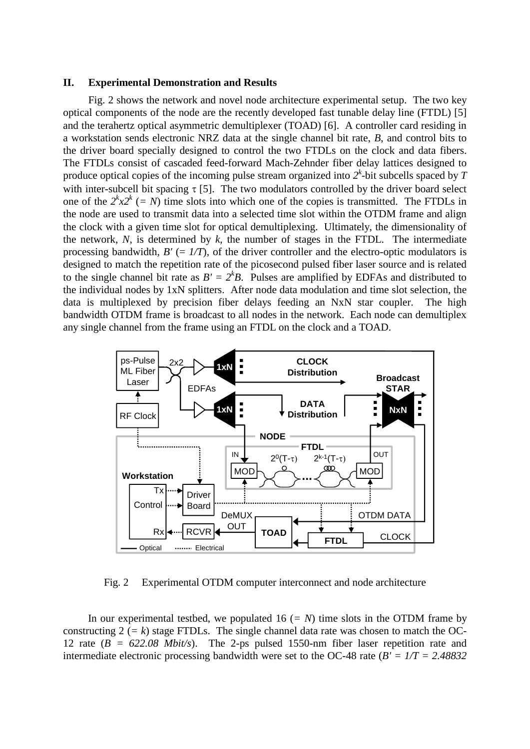#### **II. Experimental Demonstration and Results**

Fig. 2 shows the network and novel node architecture experimental setup. The two key optical components of the node are the recently developed fast tunable delay line (FTDL) [5] and the terahertz optical asymmetric demultiplexer (TOAD) [6]. A controller card residing in a workstation sends electronic NRZ data at the single channel bit rate, *B*, and control bits to the driver board specially designed to control the two FTDLs on the clock and data fibers. The FTDLs consist of cascaded feed-forward Mach-Zehnder fiber delay lattices designed to produce optical copies of the incoming pulse stream organized into  $2^k$ -bit subcells spaced by  $T$ with inter-subcell bit spacing  $\tau$  [5]. The two modulators controlled by the driver board select one of the  $2^k x 2^k$  (= N) time slots into which one of the copies is transmitted. The FTDLs in the node are used to transmit data into a selected time slot within the OTDM frame and align the clock with a given time slot for optical demultiplexing. Ultimately, the dimensionality of the network,  $N$ , is determined by  $k$ , the number of stages in the FTDL. The intermediate processing bandwidth,  $B' = I/T$ , of the driver controller and the electro-optic modulators is designed to match the repetition rate of the picosecond pulsed fiber laser source and is related to the single channel bit rate as  $B' = 2^k B$ . Pulses are amplified by EDFAs and distributed to the individual nodes by 1xN splitters. After node data modulation and time slot selection, the data is multiplexed by precision fiber delays feeding an NxN star coupler. The high bandwidth OTDM frame is broadcast to all nodes in the network. Each node can demultiplex any single channel from the frame using an FTDL on the clock and a TOAD.



Fig. 2 Experimental OTDM computer interconnect and node architecture

In our experimental testbed, we populated  $16 (= N)$  time slots in the OTDM frame by constructing  $2 (= k)$  stage FTDLs. The single channel data rate was chosen to match the OC-12 rate (*B = 622.08 Mbit/s*). The 2-ps pulsed 1550-nm fiber laser repetition rate and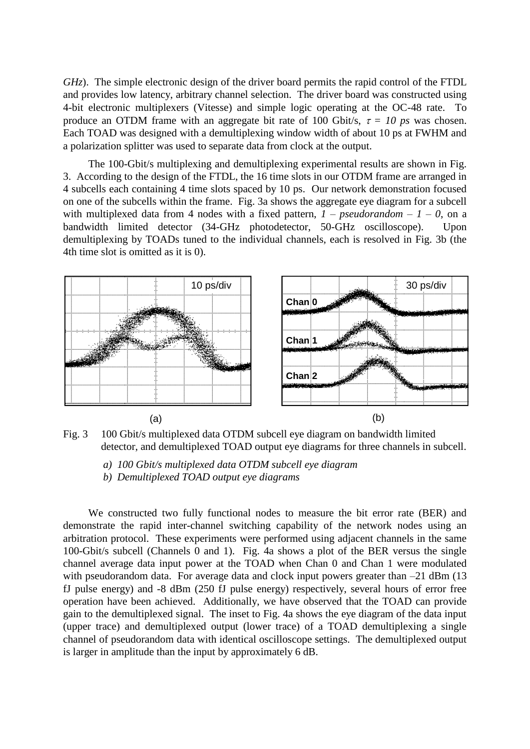*GHz*). The simple electronic design of the driver board permits the rapid control of the FTDL and provides low latency, arbitrary channel selection. The driver board was constructed using 4-bit electronic multiplexers (Vitesse) and simple logic operating at the OC-48 rate. To produce an OTDM frame with an aggregate bit rate of 100 Gbit/s,  $\tau = 10$  ps was chosen. Each TOAD was designed with a demultiplexing window width of about 10 ps at FWHM and a polarization splitter was used to separate data from clock at the output.

The 100-Gbit/s multiplexing and demultiplexing experimental results are shown in Fig. 3. According to the design of the FTDL, the 16 time slots in our OTDM frame are arranged in 4 subcells each containing 4 time slots spaced by 10 ps. Our network demonstration focused on one of the subcells within the frame. Fig. 3a shows the aggregate eye diagram for a subcell with multiplexed data from 4 nodes with a fixed pattern,  $1$  – *pseudorandom* –  $1$  – 0, on a bandwidth limited detector (34-GHz photodetector, 50-GHz oscilloscope). Upon demultiplexing by TOADs tuned to the individual channels, each is resolved in Fig. 3b (the 4th time slot is omitted as it is 0).



Fig. 3 100 Gbit/s multiplexed data OTDM subcell eye diagram on bandwidth limited detector, and demultiplexed TOAD output eye diagrams for three channels in subcell.

*a) 100 Gbit/s multiplexed data OTDM subcell eye diagram*

*b) Demultiplexed TOAD output eye diagrams*

We constructed two fully functional nodes to measure the bit error rate (BER) and demonstrate the rapid inter-channel switching capability of the network nodes using an arbitration protocol. These experiments were performed using adjacent channels in the same 100-Gbit/s subcell (Channels 0 and 1). Fig. 4a shows a plot of the BER versus the single channel average data input power at the TOAD when Chan 0 and Chan 1 were modulated with pseudorandom data. For average data and clock input powers greater than  $-21$  dBm (13) fJ pulse energy) and -8 dBm (250 fJ pulse energy) respectively, several hours of error free operation have been achieved. Additionally, we have observed that the TOAD can provide gain to the demultiplexed signal. The inset to Fig. 4a shows the eye diagram of the data input (upper trace) and demultiplexed output (lower trace) of a TOAD demultiplexing a single channel of pseudorandom data with identical oscilloscope settings. The demultiplexed output is larger in amplitude than the input by approximately 6 dB.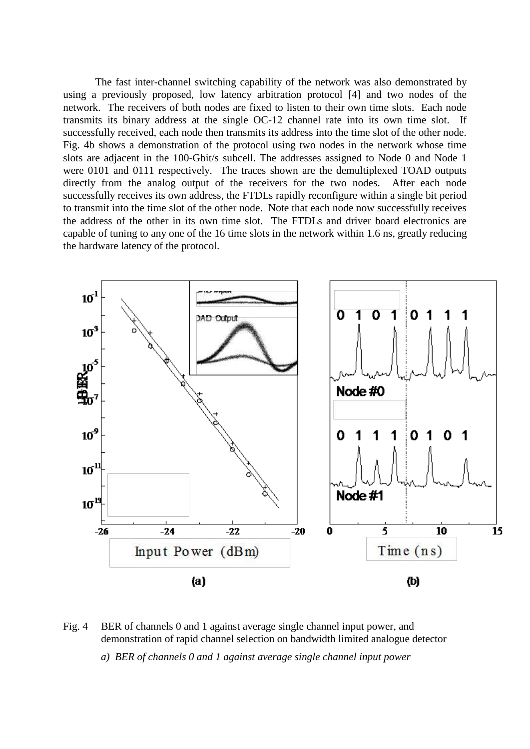The fast inter-channel switching capability of the network was also demonstrated by using a previously proposed, low latency arbitration protocol [4] and two nodes of the network. The receivers of both nodes are fixed to listen to their own time slots. Each node transmits its binary address at the single OC-12 channel rate into its own time slot. If successfully received, each node then transmits its address into the time slot of the other node. Fig. 4b shows a demonstration of the protocol using two nodes in the network whose time slots are adjacent in the 100-Gbit/s subcell. The addresses assigned to Node 0 and Node 1 were 0101 and 0111 respectively. The traces shown are the demultiplexed TOAD outputs directly from the analog output of the receivers for the two nodes. After each node successfully receives its own address, the FTDLs rapidly reconfigure within a single bit period to transmit into the time slot of the other node. Note that each node now successfully receives the address of the other in its own time slot. The FTDLs and driver board electronics are capable of tuning to any one of the 16 time slots in the network within 1.6 ns, greatly reducing the hardware latency of the protocol.



Fig. 4 BER of channels 0 and 1 against average single channel input power, and demonstration of rapid channel selection on bandwidth limited analogue detector

*a) BER of channels 0 and 1 against average single channel input power*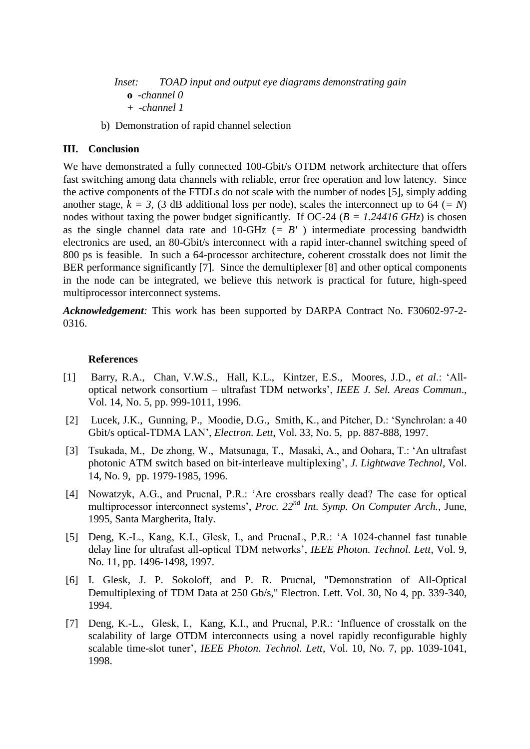*Inset: TOAD input and output eye diagrams demonstrating gain* **o** *-channel 0 + -channel 1*

b) Demonstration of rapid channel selection

# **III. Conclusion**

We have demonstrated a fully connected 100-Gbit/s OTDM network architecture that offers fast switching among data channels with reliable, error free operation and low latency. Since the active components of the FTDLs do not scale with the number of nodes [5], simply adding another stage,  $k = 3$ , (3 dB additional loss per node), scales the interconnect up to 64 ( $=N$ ) nodes without taxing the power budget significantly. If OC-24 (*B = 1.24416 GHz*) is chosen as the single channel data rate and 10-GHz (*= B'* ) intermediate processing bandwidth electronics are used, an 80-Gbit/s interconnect with a rapid inter-channel switching speed of 800 ps is feasible. In such a 64-processor architecture, coherent crosstalk does not limit the BER performance significantly [7]. Since the demultiplexer [8] and other optical components in the node can be integrated, we believe this network is practical for future, high-speed multiprocessor interconnect systems.

*Acknowledgement:* This work has been supported by DARPA Contract No. F30602-97-2- 0316.

## **References**

- [1] Barry, R.A., Chan, V.W.S., Hall, K.L., Kintzer, E.S., Moores, J.D., *et al*.: 'Alloptical network consortium – ultrafast TDM networks', *IEEE J. Sel. Areas Commun*., Vol. 14, No. 5, pp. 999-1011, 1996.
- [2] Lucek, J.K., Gunning, P., Moodie, D.G., Smith, K., and Pitcher, D.: 'Synchrolan: a 40 Gbit/s optical-TDMA LAN', *Electron. Lett*, Vol. 33, No. 5, pp. 887-888*,* 1997.
- [3] Tsukada, M., De zhong, W., Matsunaga, T., Masaki, A., and Oohara, T.: 'An ultrafast photonic ATM switch based on bit-interleave multiplexing', *J. Lightwave Technol*, Vol. 14, No. 9, pp. 1979-1985*,* 1996.
- [4] Nowatzyk, A.G., and Prucnal, P.R.: 'Are crossbars really dead? The case for optical multiprocessor interconnect systems', *Proc. 22nd Int. Symp. On Computer Arch.,* June, 1995, Santa Margherita, Italy.
- [5] Deng, K.-L., Kang, K.I., Glesk, I., and PrucnaL, P.R.: 'A 1024-channel fast tunable delay line for ultrafast all-optical TDM networks', *IEEE Photon. Technol. Lett*, Vol. 9, No. 11, pp. 1496-1498*,* 1997.
- [6] I. Glesk, J. P. Sokoloff, and P. R. Prucnal, "Demonstration of All-Optical Demultiplexing of TDM Data at 250 Gb/s," Electron. Lett. Vol. 30, No 4, pp. 339-340, 1994.
- [7] Deng, K.-L., Glesk, I., Kang, K.I., and Prucnal, P.R.: 'Influence of crosstalk on the scalability of large OTDM interconnects using a novel rapidly reconfigurable highly scalable time-slot tuner', *IEEE Photon. Technol. Lett*, Vol. 10, No. 7, pp. 1039-1041*,*  1998.